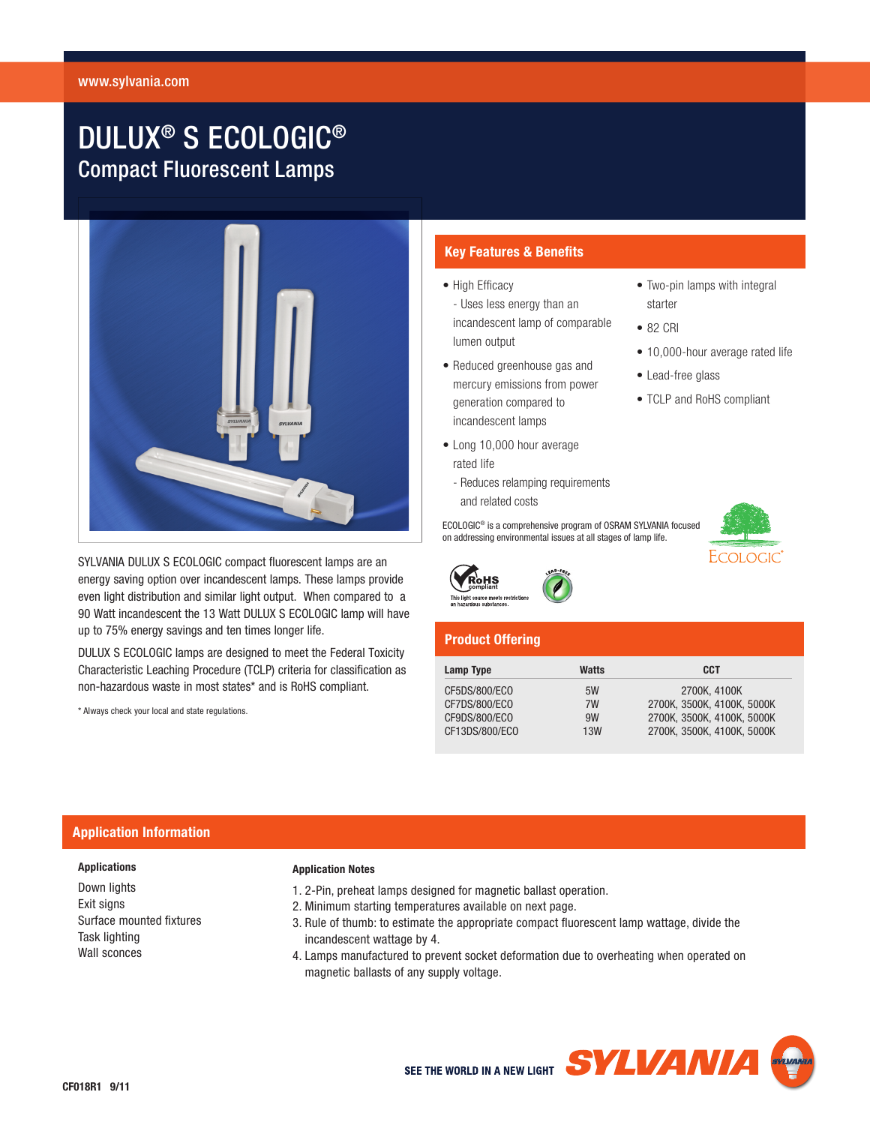# DULUX® S ECOLOGIC® Compact Fluorescent Lamps



SYLVANIA DULUX S ECOLOGIC compact fluorescent lamps are an energy saving option over incandescent lamps. These lamps provide even light distribution and similar light output. When compared to a 90 Watt incandescent the 13 Watt DULUX S ECOLOGIC lamp will have up to 75% energy savings and ten times longer life.

DULUX S ECOLOGIC lamps are designed to meet the Federal Toxicity Characteristic Leaching Procedure (TCLP) criteria for classification as non-hazardous waste in most states\* and is RoHS compliant.

\* Always check your local and state regulations.

## **Key Features & Benefits**

- High Efficacy - Uses less energy than an incandescent lamp of comparable lumen output
- • Reduced greenhouse gas and mercury emissions from power generation compared to incandescent lamps
- Long 10,000 hour average rated life
	- Reduces relamping requirements and related costs

ECOLOGIC® is a comprehensive program of OSRAM SYLVANIA focused on addressing environmental issues at all stages of lamp life.



• Two-pin lamps with integral

- 10,000-hour average rated life
- Lead-free glass
- TCLP and RoHS compliant



∛oHS This light source meets rest

# **Product Offering**

| Lamp Type      | Watts | <b>CCT</b>                 |
|----------------|-------|----------------------------|
| CF5DS/800/ECO  | 5W    | 2700K. 4100K               |
| CF7DS/800/ECO  | 7W    | 2700K, 3500K, 4100K, 5000K |
| CF9DS/800/ECO  | 9W    | 2700K. 3500K. 4100K. 5000K |
| CF13DS/800/ECO | 13W   | 2700K, 3500K, 4100K, 5000K |

## **Application Information**

## **Applications**

Down lights Exit signs Surface mounted fixtures Task lighting Wall sconces

### **Application Notes**

- 1. 2-Pin, preheat lamps designed for magnetic ballast operation.
- 2. Minimum starting temperatures available on next page.
- 3. Rule of thumb: to estimate the appropriate compact fluorescent lamp wattage, divide the incandescent wattage by 4.
- 4. Lamps manufactured to prevent socket deformation due to overheating when operated on magnetic ballasts of any supply voltage.